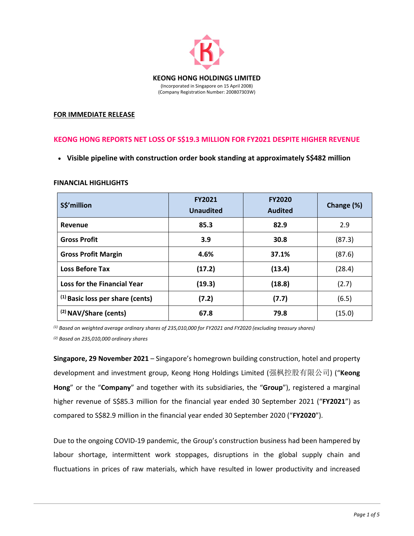

## **FOR IMMEDIATE RELEASE**

# **KEONG HONG REPORTS NET LOSS OF S\$19.3 MILLION FOR FY2021 DESPITE HIGHER REVENUE**

**Visible pipeline with construction order book standing at approximately S\$482 million** 

## **FINANCIAL HIGHLIGHTS**

| S\$'million                        | <b>FY2021</b><br><b>Unaudited</b> | <b>FY2020</b><br><b>Audited</b> | Change (%) |
|------------------------------------|-----------------------------------|---------------------------------|------------|
| Revenue                            | 85.3                              | 82.9                            | 2.9        |
| <b>Gross Profit</b>                | 3.9                               | 30.8                            | (87.3)     |
| <b>Gross Profit Margin</b>         | 4.6%                              | 37.1%                           | (87.6)     |
| <b>Loss Before Tax</b>             | (17.2)                            | (13.4)                          | (28.4)     |
| <b>Loss for the Financial Year</b> | (19.3)                            | (18.8)                          | (2.7)      |
| $(1)$ Basic loss per share (cents) | (7.2)                             | (7.7)                           | (6.5)      |
| (2) NAV/Share (cents)              | 67.8                              | 79.8                            | (15.0)     |

*(1) Based on weighted average ordinary shares of 235,010,000 for FY2021 and FY2020 (excluding treasury shares) (2) Based on 235,010,000 ordinary shares* 

**Singapore, 29 November 2021** – Singapore's homegrown building construction, hotel and property development and investment group, Keong Hong Holdings Limited (强枫控股有限公司) ("**Keong Hong**" or the "**Company**" and together with its subsidiaries, the "**Group**"), registered a marginal higher revenue of S\$85.3 million for the financial year ended 30 September 2021 ("**FY2021**") as compared to S\$82.9 million in the financial year ended 30 September 2020 ("**FY2020**").

Due to the ongoing COVID‐19 pandemic, the Group's construction business had been hampered by labour shortage, intermittent work stoppages, disruptions in the global supply chain and fluctuations in prices of raw materials, which have resulted in lower productivity and increased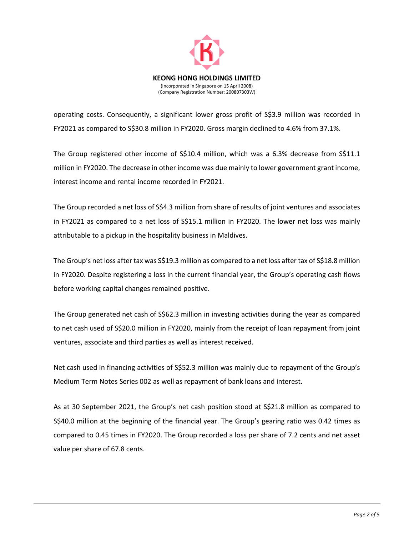

operating costs. Consequently, a significant lower gross profit of S\$3.9 million was recorded in FY2021 as compared to S\$30.8 million in FY2020. Gross margin declined to 4.6% from 37.1%.

The Group registered other income of S\$10.4 million, which was a 6.3% decrease from S\$11.1 million in FY2020. The decrease in other income was due mainly to lower government grant income, interest income and rental income recorded in FY2021.

The Group recorded a net loss of S\$4.3 million from share of results of joint ventures and associates in FY2021 as compared to a net loss of S\$15.1 million in FY2020. The lower net loss was mainly attributable to a pickup in the hospitality business in Maldives.

The Group's net loss after tax was S\$19.3 million as compared to a net loss after tax of S\$18.8 million in FY2020. Despite registering a loss in the current financial year, the Group's operating cash flows before working capital changes remained positive.

The Group generated net cash of S\$62.3 million in investing activities during the year as compared to net cash used of S\$20.0 million in FY2020, mainly from the receipt of loan repayment from joint ventures, associate and third parties as well as interest received.

Net cash used in financing activities of S\$52.3 million was mainly due to repayment of the Group's Medium Term Notes Series 002 as well as repayment of bank loans and interest.

As at 30 September 2021, the Group's net cash position stood at S\$21.8 million as compared to S\$40.0 million at the beginning of the financial year. The Group's gearing ratio was 0.42 times as compared to 0.45 times in FY2020. The Group recorded a loss per share of 7.2 cents and net asset value per share of 67.8 cents.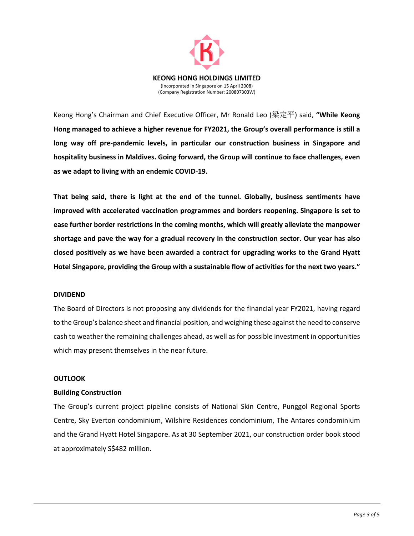

Keong Hong's Chairman and Chief Executive Officer, Mr Ronald Leo (梁定平) said, **"While Keong Hong managed to achieve a higher revenue for FY2021, the Group's overall performance is still a long way off pre‐pandemic levels, in particular our construction business in Singapore and hospitality business in Maldives. Going forward, the Group will continue to face challenges, even as we adapt to living with an endemic COVID‐19.**

**That being said, there is light at the end of the tunnel. Globally, business sentiments have improved with accelerated vaccination programmes and borders reopening. Singapore is set to ease further border restrictions in the coming months, which will greatly alleviate the manpower shortage and pave the way for a gradual recovery in the construction sector. Our year has also closed positively as we have been awarded a contract for upgrading works to the Grand Hyatt Hotel Singapore, providing the Group with a sustainable flow of activities for the next two years."** 

#### **DIVIDEND**

The Board of Directors is not proposing any dividends for the financial year FY2021, having regard to the Group's balance sheet and financial position, and weighing these against the need to conserve cash to weather the remaining challenges ahead, as well as for possible investment in opportunities which may present themselves in the near future.

## **OUTLOOK**

## **Building Construction**

The Group's current project pipeline consists of National Skin Centre, Punggol Regional Sports Centre, Sky Everton condominium, Wilshire Residences condominium, The Antares condominium and the Grand Hyatt Hotel Singapore. As at 30 September 2021, our construction order book stood at approximately S\$482 million.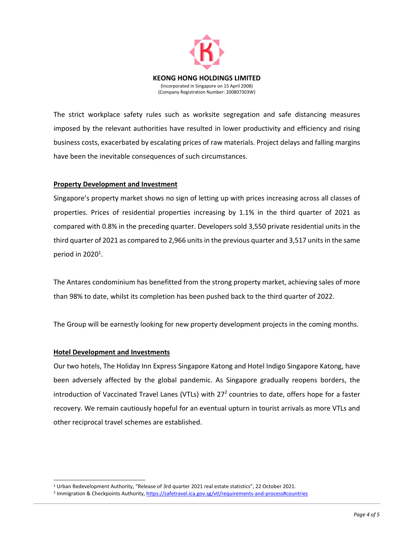

The strict workplace safety rules such as worksite segregation and safe distancing measures imposed by the relevant authorities have resulted in lower productivity and efficiency and rising business costs, exacerbated by escalating prices of raw materials. Project delays and falling margins have been the inevitable consequences of such circumstances.

## **Property Development and Investment**

Singapore's property market shows no sign of letting up with prices increasing across all classes of properties. Prices of residential properties increasing by 1.1% in the third quarter of 2021 as compared with 0.8% in the preceding quarter. Developers sold 3,550 private residential units in the third quarter of 2021 as compared to 2,966 units in the previous quarter and 3,517 units in the same period in  $2020<sup>1</sup>$ .

The Antares condominium has benefitted from the strong property market, achieving sales of more than 98% to date, whilst its completion has been pushed back to the third quarter of 2022.

The Group will be earnestly looking for new property development projects in the coming months.

#### **Hotel Development and Investments**

 $\overline{a}$ 

Our two hotels, The Holiday Inn Express Singapore Katong and Hotel Indigo Singapore Katong, have been adversely affected by the global pandemic. As Singapore gradually reopens borders, the introduction of Vaccinated Travel Lanes (VTLs) with 27<sup>2</sup> countries to date, offers hope for a faster recovery. We remain cautiously hopeful for an eventual upturn in tourist arrivals as more VTLs and other reciprocal travel schemes are established.

<sup>1</sup> Urban Redevelopment Authority, "Release of 3rd quarter 2021 real estate statistics", 22 October 2021.

<sup>&</sup>lt;sup>2</sup> Immigration & Checkpoints Authority, https://safetravel.ica.gov.sg/vtl/requirements-and-process#countries